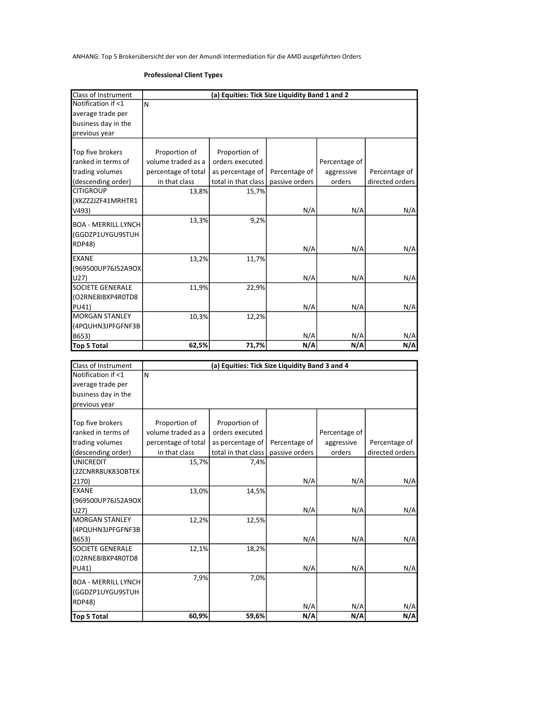ANHANG: Top 5 Brokerübersicht der von der Amundi Intermediation für die AMD ausgeführten Orders

## Professional Client Types

| Class of Instrument                 |                     | (a) Equities: Tick Size Liquidity Band 1 and 2 |                |               |                 |
|-------------------------------------|---------------------|------------------------------------------------|----------------|---------------|-----------------|
| Notification if <1                  | N                   |                                                |                |               |                 |
| average trade per                   |                     |                                                |                |               |                 |
| business day in the                 |                     |                                                |                |               |                 |
|                                     |                     |                                                |                |               |                 |
| previous year                       |                     |                                                |                |               |                 |
|                                     |                     |                                                |                |               |                 |
| Top five brokers                    | Proportion of       | Proportion of                                  |                |               |                 |
| ranked in terms of                  | volume traded as a  | orders executed                                |                | Percentage of |                 |
| trading volumes                     | percentage of total | as percentage of                               | Percentage of  | aggressive    | Percentage of   |
| (descending order)                  | in that class       | total in that class                            | passive orders | orders        | directed orders |
| <b>CITIGROUP</b>                    | 13,8%               | 15,7%                                          |                |               |                 |
| (XKZZ2JZF41MRHTR1                   |                     |                                                |                |               |                 |
| V493)                               |                     |                                                | N/A            | N/A           | N/A             |
| <b>BOA - MERRILL LYNCH</b>          | 13,3%               | 9,2%                                           |                |               |                 |
| (GGDZP1UYGU9STUH                    |                     |                                                |                |               |                 |
|                                     |                     |                                                |                |               |                 |
| <b>RDP48)</b>                       |                     |                                                | N/A            | N/A           | N/A             |
| <b>EXANE</b>                        | 13,2%               | 11,7%                                          |                |               |                 |
| (969500UP76J52A9OX                  |                     |                                                |                |               |                 |
| U27)                                |                     |                                                | N/A            | N/A           | N/A             |
| <b>SOCIETE GENERALE</b>             | 11,9%               | 22,9%                                          |                |               |                 |
| (O2RNE8IBXP4R0TD8                   |                     |                                                |                |               |                 |
| PU41)                               |                     |                                                | N/A            | N/A           | N/A             |
| <b>MORGAN STANLEY</b>               | 10,3%               | 12,2%                                          |                |               |                 |
| (4PQUHN3JPFGFNF3B                   |                     |                                                |                |               |                 |
| B653)                               |                     |                                                | N/A            | N/A           | N/A             |
| Top 5 Total                         | 62,5%               | 71,7%                                          | N/A            | N/A           | N/A             |
|                                     |                     |                                                |                |               |                 |
|                                     |                     |                                                |                |               |                 |
|                                     |                     |                                                |                |               |                 |
| Class of Instrument                 |                     | (a) Equities: Tick Size Liquidity Band 3 and 4 |                |               |                 |
| Notification if <1                  | N                   |                                                |                |               |                 |
| average trade per                   |                     |                                                |                |               |                 |
| business day in the                 |                     |                                                |                |               |                 |
| previous year                       |                     |                                                |                |               |                 |
|                                     |                     |                                                |                |               |                 |
| Top five brokers                    | Proportion of       | Proportion of                                  |                |               |                 |
| ranked in terms of                  | volume traded as a  | orders executed                                |                | Percentage of |                 |
| trading volumes                     | percentage of total | as percentage of                               | Percentage of  | aggressive    | Percentage of   |
| (descending order)                  | in that class       | total in that class                            | passive orders | orders        | directed orders |
| <b>UNICREDIT</b>                    | 15,7%               | 7,4%                                           |                |               |                 |
| (2ZCNRR8UK83OBTEK                   |                     |                                                |                |               |                 |
| 2170)                               |                     |                                                | N/A            | N/A           | N/A             |
| <b>EXANE</b>                        | 13,0%               | 14,5%                                          |                |               |                 |
| (969500UP76J52A9OX                  |                     |                                                |                |               |                 |
| U27)                                |                     |                                                | N/A            | N/A           | N/A             |
| <b>MORGAN STANLEY</b>               | 12,2%               | 12,5%                                          |                |               |                 |
| (4PQUHN3JPFGFNF3B                   |                     |                                                |                |               |                 |
| B653)                               |                     |                                                | N/A            | N/A           | N/A             |
| SOCIETE GENERALE                    | 12,1%               | 18,2%                                          |                |               |                 |
| (O2RNE8IBXP4R0TD8                   |                     |                                                |                |               |                 |
| PU41)                               |                     |                                                | N/A            | N/A           | N/A             |
| <b>BOA - MERRILL LYNCH</b>          | 7,9%                | 7,0%                                           |                |               |                 |
|                                     |                     |                                                |                |               |                 |
| (GGDZP1UYGU9STUH                    |                     |                                                |                |               |                 |
| <b>RDP48)</b><br><b>Top 5 Total</b> | 60,9%               | 59,6%                                          | N/A<br>N/A     | N/A<br>N/A    | N/A<br>N/A      |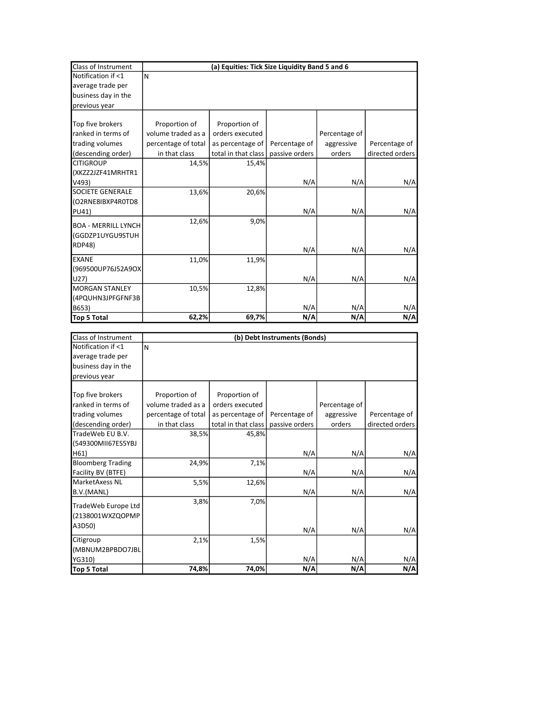| Class of Instrument        |                     | (a) Equities: Tick Size Liquidity Band 5 and 6 |                              |               |                 |
|----------------------------|---------------------|------------------------------------------------|------------------------------|---------------|-----------------|
| Notification if <1         | N                   |                                                |                              |               |                 |
| average trade per          |                     |                                                |                              |               |                 |
| business day in the        |                     |                                                |                              |               |                 |
| previous year              |                     |                                                |                              |               |                 |
|                            |                     |                                                |                              |               |                 |
| Top five brokers           | Proportion of       | Proportion of                                  |                              |               |                 |
| ranked in terms of         | volume traded as a  | orders executed                                |                              | Percentage of |                 |
| trading volumes            | percentage of total | as percentage of                               | Percentage of                | aggressive    | Percentage of   |
| (descending order)         | in that class       | total in that class                            | passive orders               | orders        | directed orders |
| <b>CITIGROUP</b>           | 14,5%               | 15,4%                                          |                              |               |                 |
| (XKZZ2JZF41MRHTR1          |                     |                                                |                              |               |                 |
| V493)                      |                     |                                                | N/A                          | N/A           | N/A             |
| <b>SOCIETE GENERALE</b>    | 13,6%               | 20,6%                                          |                              |               |                 |
| (O2RNE8IBXP4R0TD8          |                     |                                                |                              |               |                 |
| PU41)                      |                     |                                                | N/A                          | N/A           | N/A             |
| <b>BOA - MERRILL LYNCH</b> | 12,6%               | 9,0%                                           |                              |               |                 |
| (GGDZP1UYGU9STUH           |                     |                                                |                              |               |                 |
| <b>RDP48)</b>              |                     |                                                |                              |               |                 |
|                            |                     |                                                | N/A                          | N/A           | N/A             |
| <b>EXANE</b>               | 11,0%               | 11,9%                                          |                              |               |                 |
| (969500UP76J52A9OX         |                     |                                                |                              |               |                 |
| U27)                       |                     |                                                | N/A                          | N/A           | N/A             |
| <b>MORGAN STANLEY</b>      | 10,5%               | 12,8%                                          |                              |               |                 |
| (4PQUHN3JPFGFNF3B          |                     |                                                |                              |               |                 |
| B653)                      |                     |                                                | N/A                          | N/A           | N/A             |
| Top 5 Total                | 62,2%               | 69,7%                                          | N/A                          | N/A           | N/A             |
|                            |                     |                                                |                              |               |                 |
| Class of Instrument        |                     |                                                | (b) Debt Instruments (Bonds) |               |                 |
| Notification if <1         | N                   |                                                |                              |               |                 |
| average trade per          |                     |                                                |                              |               |                 |
| business day in the        |                     |                                                |                              |               |                 |
| previous year              |                     |                                                |                              |               |                 |
|                            |                     |                                                |                              |               |                 |
| Top five brokers           | Proportion of       | Proportion of                                  |                              |               |                 |
| ranked in terms of         | volume traded as a  | orders executed                                |                              | Percentage of |                 |
| trading volumes            | percentage of total | as percentage of                               | Percentage of                | aggressive    | Percentage of   |
| (descending order)         | in that class       | total in that class                            | passive orders               | orders        | directed orders |
| TradeWeb EU B.V.           | 38,5%               | 45,8%                                          |                              |               |                 |
| (549300MII67ES5YBJ         |                     |                                                |                              |               |                 |
| H61)                       |                     |                                                | N/A                          | N/A           | N/A             |

24,9% 7,1%

5,5% 12,6%

3,8% 7,0%

2,1% 1,5%

Top 5 Total 74,8% 74,0%

N/A N/A N/A

 $N/A$   $N/A$   $N/A$ 

 $N/A$   $N/A$   $N/A$ 

 $N/A$   $N/A$   $N/A$   $N/A$   $N/A$ 

Bloomberg Trading Facility BV (BTFE)

TradeWeb Europe Ltd (2138001WXZQOPMP

(MBNUM2BPBDO7JBL

MarketAxess NL B.V.(MANL)

A3D50)

**Citigroup** 

YG310)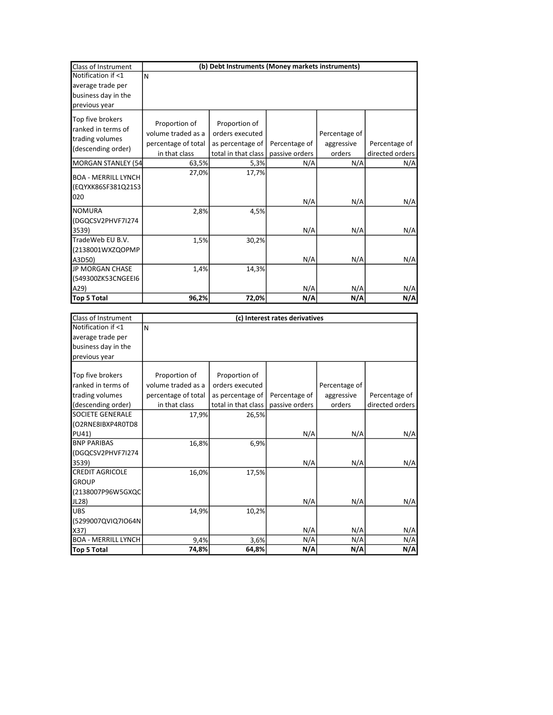| Class of Instrument                                      | (b) Debt Instruments (Money markets instruments) |                                  |                |               |                 |
|----------------------------------------------------------|--------------------------------------------------|----------------------------------|----------------|---------------|-----------------|
| Notification if <1                                       | ΙN                                               |                                  |                |               |                 |
| average trade per                                        |                                                  |                                  |                |               |                 |
| business day in the                                      |                                                  |                                  |                |               |                 |
| previous year                                            |                                                  |                                  |                |               |                 |
| Top five brokers<br>ranked in terms of                   | Proportion of<br>volume traded as a              | Proportion of<br>orders executed |                | Percentage of |                 |
| trading volumes                                          | percentage of total                              | as percentage of                 | Percentage of  | aggressive    | Percentage of   |
| (descending order)                                       | in that class                                    | total in that class              | passive orders | orders        | directed orders |
| <b>MORGAN STANLEY (54</b>                                | 63,5%                                            | 5,3%                             | N/A            | N/A           | N/A             |
| <b>BOA - MERRILL LYNCH</b><br>(EQYXK86SF381Q21S3)<br>020 | 27,0%                                            | 17,7%                            | N/A            | N/A           | N/A             |
| <b>NOMURA</b>                                            | 2,8%                                             | 4,5%                             |                |               |                 |
| (DGQCSV2PHVF7I274<br>3539)                               |                                                  |                                  | N/A            | N/A           | N/A             |
| TradeWeb EU B.V.<br>(2138001WXZQOPMP                     | 1,5%                                             | 30,2%                            |                |               |                 |
| A3D50)                                                   |                                                  |                                  | N/A            | N/A           | N/A             |
| <b>JP MORGAN CHASE</b>                                   | 1,4%                                             | 14,3%                            |                |               |                 |
| (549300ZK53CNGEEI6                                       |                                                  |                                  |                |               |                 |
| A29)                                                     |                                                  |                                  | N/A            | N/A           | N/A             |
| <b>Top 5 Total</b>                                       | 96,2%                                            | 72,0%                            | N/A            | N/A           | N/A             |

| Class of Instrument        | (c) Interest rates derivatives |                     |                |               |                 |
|----------------------------|--------------------------------|---------------------|----------------|---------------|-----------------|
| Notification if <1         | N                              |                     |                |               |                 |
| average trade per          |                                |                     |                |               |                 |
| business day in the        |                                |                     |                |               |                 |
| previous year              |                                |                     |                |               |                 |
|                            |                                |                     |                |               |                 |
| Top five brokers           | Proportion of                  | Proportion of       |                |               |                 |
| ranked in terms of         | volume traded as a             | orders executed     |                | Percentage of |                 |
| trading volumes            | percentage of total            | as percentage of    | Percentage of  | aggressive    | Percentage of   |
| (descending order)         | in that class                  | total in that class | passive orders | orders        | directed orders |
| <b>SOCIETE GENERALE</b>    | 17,9%                          | 26,5%               |                |               |                 |
| (O2RNE8IBXP4R0TD8          |                                |                     |                |               |                 |
| <b>PU41)</b>               |                                |                     | N/A            | N/A           | N/A             |
| <b>BNP PARIBAS</b>         | 16,8%                          | 6,9%                |                |               |                 |
| (DGQCSV2PHVF7I274          |                                |                     |                |               |                 |
| 3539)                      |                                |                     | N/A            | N/A           | N/A             |
| <b>CREDIT AGRICOLE</b>     | 16,0%                          | 17,5%               |                |               |                 |
| <b>GROUP</b>               |                                |                     |                |               |                 |
| (2138007P96W5GXQC          |                                |                     |                |               |                 |
| JL28)                      |                                |                     | N/A            | N/A           | N/A             |
| <b>UBS</b>                 | 14,9%                          | 10,2%               |                |               |                 |
| (5299007QVIQ7IO64N         |                                |                     |                |               |                 |
| X37)                       |                                |                     | N/A            | N/A           | N/A             |
| <b>BOA - MERRILL LYNCH</b> | 9,4%                           | 3,6%                | N/A            | N/A           | N/A             |
| <b>Top 5 Total</b>         | 74,8%                          | 64,8%               | N/A            | N/A           | N/A             |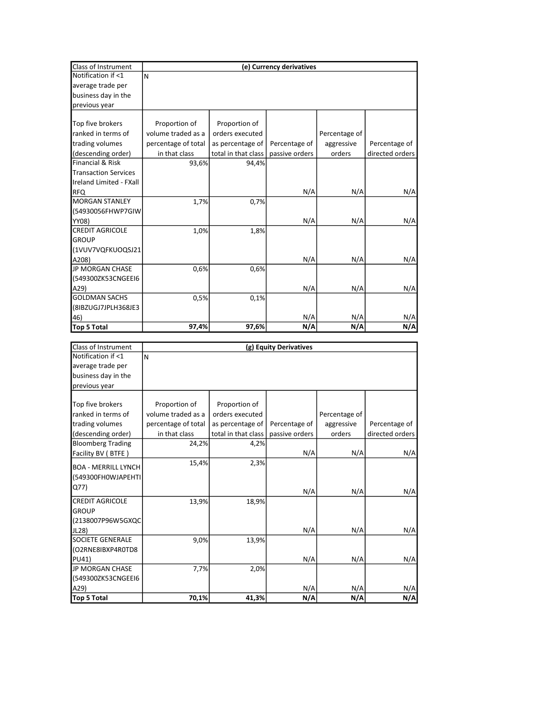| Class of Instrument         | (e) Currency derivatives |                     |                |               |                 |
|-----------------------------|--------------------------|---------------------|----------------|---------------|-----------------|
| Notification if <1          | N                        |                     |                |               |                 |
| average trade per           |                          |                     |                |               |                 |
| business day in the         |                          |                     |                |               |                 |
| previous year               |                          |                     |                |               |                 |
|                             |                          |                     |                |               |                 |
| Top five brokers            | Proportion of            | Proportion of       |                |               |                 |
| ranked in terms of          | volume traded as a       | orders executed     |                | Percentage of |                 |
| trading volumes             | percentage of total      | as percentage of    | Percentage of  | aggressive    | Percentage of   |
| (descending order)          | in that class            | total in that class | passive orders | orders        | directed orders |
| <b>Financial &amp; Risk</b> | 93,6%                    | 94,4%               |                |               |                 |
| <b>Transaction Services</b> |                          |                     |                |               |                 |
| Ireland Limited - FXall     |                          |                     |                |               |                 |
| <b>RFQ</b>                  |                          |                     | N/A            | N/A           | N/A             |
| <b>MORGAN STANLEY</b>       | 1,7%                     | 0,7%                |                |               |                 |
| (54930056FHWP7GIW           |                          |                     |                |               |                 |
| YY08)                       |                          |                     | N/A            | N/A           | N/A             |
| <b>CREDIT AGRICOLE</b>      | 1,0%                     | 1,8%                |                |               |                 |
| <b>GROUP</b>                |                          |                     |                |               |                 |
| (1VUV7VQFKUOQSJ21           |                          |                     |                |               |                 |
| A208)                       |                          |                     | N/A            | N/A           | N/A             |
| JP MORGAN CHASE             | 0,6%                     | 0,6%                |                |               |                 |
| (549300ZK53CNGEEI6          |                          |                     |                |               |                 |
| A29                         |                          |                     | N/A            | N/A           | N/A             |
| <b>GOLDMAN SACHS</b>        | 0,5%                     | 0,1%                |                |               |                 |
| (8IBZUGJ7JPLH368JE3         |                          |                     |                |               |                 |
| 46)                         |                          |                     | N/A            | N/A           | N/A             |
| <b>Top 5 Total</b>          | 97,4%                    | 97,6%               | N/A            | N/A           | N/A             |
|                             |                          |                     |                |               |                 |
| Class of Instrument         | (g) Equity Derivatives   |                     |                |               |                 |
| Notification if <1          | N                        |                     |                |               |                 |
| average trade per           |                          |                     |                |               |                 |
| business day in the         |                          |                     |                |               |                 |
| previous year               |                          |                     |                |               |                 |
|                             |                          |                     |                |               |                 |
| Top five brokers            | Proportion of            | Proportion of       |                |               |                 |
| ranked in terms of          | volume traded as a       | orders executed     |                | Percentage of |                 |
| trading volumes             | percentage of total      | as percentage of    | Percentage of  | aggressive    | Percentage of   |
| (descending order)          | in that class            | total in that class | passive orders | orders        | directed orders |
| <b>Bloomberg Trading</b>    | 24,2%                    | 4,2%                | N/I            | N/I           | A1/A            |
|                             |                          |                     |                |               |                 |

| Class of Instrument        | (g) Equity Derivatives |                     |                |               |                 |
|----------------------------|------------------------|---------------------|----------------|---------------|-----------------|
| Notification if <1         | N                      |                     |                |               |                 |
| average trade per          |                        |                     |                |               |                 |
| business day in the        |                        |                     |                |               |                 |
| previous year              |                        |                     |                |               |                 |
|                            |                        |                     |                |               |                 |
| Top five brokers           | Proportion of          | Proportion of       |                |               |                 |
| ranked in terms of         | volume traded as a     | orders executed     |                | Percentage of |                 |
| trading volumes            | percentage of total    | as percentage of    | Percentage of  | aggressive    | Percentage of   |
| (descending order)         | in that class          | total in that class | passive orders | orders        | directed orders |
| <b>Bloomberg Trading</b>   | 24,2%                  | 4,2%                |                |               |                 |
| Facility BV (BTFE)         |                        |                     | N/A            | N/A           | N/A             |
| <b>BOA - MERRILL LYNCH</b> | 15,4%                  | 2,3%                |                |               |                 |
| (549300FHOWJAPEHTI         |                        |                     |                |               |                 |
| Q77)                       |                        |                     |                |               |                 |
|                            |                        |                     | N/A            | N/A           | N/A             |
| <b>CREDIT AGRICOLE</b>     | 13,9%                  | 18,9%               |                |               |                 |
| <b>GROUP</b>               |                        |                     |                |               |                 |
| (2138007P96W5GXQC          |                        |                     |                |               |                 |
| JL28)                      |                        |                     | N/A            | N/A           | N/A             |
| <b>SOCIETE GENERALE</b>    | 9,0%                   | 13,9%               |                |               |                 |
| (O2RNE8IBXP4R0TD8          |                        |                     |                |               |                 |
| PU41)                      |                        |                     | N/A            | N/A           | N/A             |
| <b>JP MORGAN CHASE</b>     | 7,7%                   | 2,0%                |                |               |                 |
| (549300ZK53CNGEEI6         |                        |                     |                |               |                 |
| A29                        |                        |                     | N/A            | N/A           | N/A             |
| <b>Top 5 Total</b>         | 70,1%                  | 41,3%               | N/A            | N/A           | N/A             |